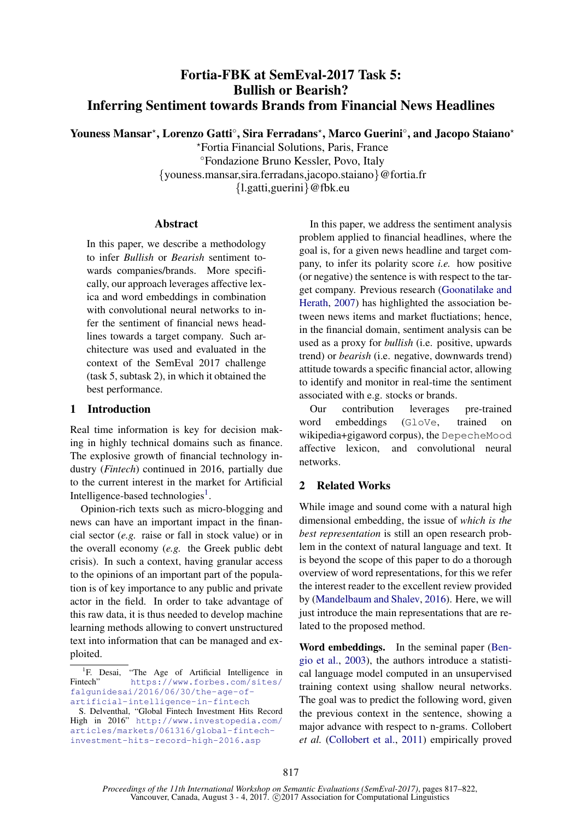# Fortia-FBK at SemEval-2017 Task 5: Bullish or Bearish? Inferring Sentiment towards Brands from Financial News Headlines

Youness Mansar<sup>\*</sup>, Lorenzo Gatti<sup>°</sup>, Sira Ferradans<sup>\*</sup>, Marco Guerini<sup>°</sup>, and Jacopo Staiano<sup>\*</sup>

?Fortia Financial Solutions, Paris, France ◦Fondazione Bruno Kessler, Povo, Italy {youness.mansar,sira.ferradans,jacopo.staiano}@fortia.fr {l.gatti,guerini}@fbk.eu

# Abstract

In this paper, we describe a methodology to infer *Bullish* or *Bearish* sentiment towards companies/brands. More specifically, our approach leverages affective lexica and word embeddings in combination with convolutional neural networks to infer the sentiment of financial news headlines towards a target company. Such architecture was used and evaluated in the context of the SemEval 2017 challenge (task 5, subtask 2), in which it obtained the best performance.

# 1 Introduction

Real time information is key for decision making in highly technical domains such as finance. The explosive growth of financial technology industry (*Fintech*) continued in 2016, partially due to the current interest in the market for Artificial Intelligence-based technologies<sup>1</sup>.

Opinion-rich texts such as micro-blogging and news can have an important impact in the financial sector (*e.g.* raise or fall in stock value) or in the overall economy (*e.g.* the Greek public debt crisis). In such a context, having granular access to the opinions of an important part of the population is of key importance to any public and private actor in the field. In order to take advantage of this raw data, it is thus needed to develop machine learning methods allowing to convert unstructured text into information that can be managed and exploited.

In this paper, we address the sentiment analysis problem applied to financial headlines, where the goal is, for a given news headline and target company, to infer its polarity score *i.e.* how positive (or negative) the sentence is with respect to the target company. Previous research (Goonatilake and Herath, 2007) has highlighted the association between news items and market fluctiations; hence, in the financial domain, sentiment analysis can be used as a proxy for *bullish* (i.e. positive, upwards trend) or *bearish* (i.e. negative, downwards trend) attitude towards a specific financial actor, allowing to identify and monitor in real-time the sentiment associated with e.g. stocks or brands.

Our contribution leverages pre-trained word embeddings (GloVe, trained on wikipedia+gigaword corpus), the DepecheMood affective lexicon, and convolutional neural networks.

# 2 Related Works

While image and sound come with a natural high dimensional embedding, the issue of *which is the best representation* is still an open research problem in the context of natural language and text. It is beyond the scope of this paper to do a thorough overview of word representations, for this we refer the interest reader to the excellent review provided by (Mandelbaum and Shalev, 2016). Here, we will just introduce the main representations that are related to the proposed method.

Word embeddings. In the seminal paper (Bengio et al., 2003), the authors introduce a statistical language model computed in an unsupervised training context using shallow neural networks. The goal was to predict the following word, given the previous context in the sentence, showing a major advance with respect to n-grams. Collobert *et al.* (Collobert et al., 2011) empirically proved

<sup>&</sup>lt;sup>1</sup>F. Desai, "The Age of Artificial Intelligence in Fintech" https://www.forbes.com/sites/ falgunidesai/2016/06/30/the-age-ofartificial-intelligence-in-fintech

S. Delventhal, "Global Fintech Investment Hits Record High in 2016" http://www.investopedia.com/ articles/markets/061316/global-fintechinvestment-hits-record-high-2016.asp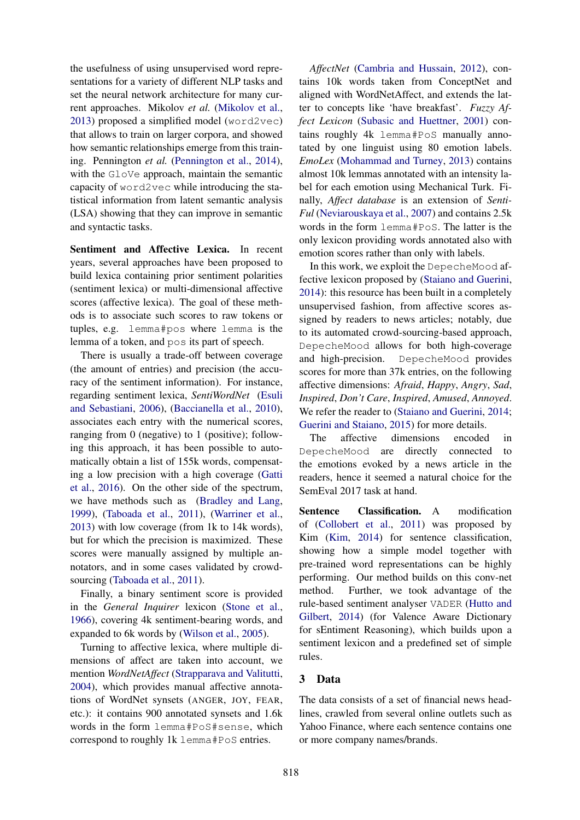the usefulness of using unsupervised word representations for a variety of different NLP tasks and set the neural network architecture for many current approaches. Mikolov *et al.* (Mikolov et al., 2013) proposed a simplified model (word2vec) that allows to train on larger corpora, and showed how semantic relationships emerge from this training. Pennington *et al.* (Pennington et al., 2014), with the GloVe approach, maintain the semantic capacity of word2vec while introducing the statistical information from latent semantic analysis (LSA) showing that they can improve in semantic and syntactic tasks.

Sentiment and Affective Lexica. In recent years, several approaches have been proposed to build lexica containing prior sentiment polarities (sentiment lexica) or multi-dimensional affective scores (affective lexica). The goal of these methods is to associate such scores to raw tokens or tuples, e.g. lemma#pos where lemma is the lemma of a token, and pos its part of speech.

There is usually a trade-off between coverage (the amount of entries) and precision (the accuracy of the sentiment information). For instance, regarding sentiment lexica, *SentiWordNet* (Esuli and Sebastiani, 2006), (Baccianella et al., 2010), associates each entry with the numerical scores, ranging from 0 (negative) to 1 (positive); following this approach, it has been possible to automatically obtain a list of 155k words, compensating a low precision with a high coverage (Gatti et al., 2016). On the other side of the spectrum, we have methods such as (Bradley and Lang, 1999), (Taboada et al., 2011), (Warriner et al., 2013) with low coverage (from 1k to 14k words), but for which the precision is maximized. These scores were manually assigned by multiple annotators, and in some cases validated by crowdsourcing (Taboada et al., 2011).

Finally, a binary sentiment score is provided in the *General Inquirer* lexicon (Stone et al., 1966), covering 4k sentiment-bearing words, and expanded to 6k words by (Wilson et al., 2005).

Turning to affective lexica, where multiple dimensions of affect are taken into account, we mention *WordNetAffect* (Strapparava and Valitutti, 2004), which provides manual affective annotations of WordNet synsets (ANGER, JOY, FEAR, etc.): it contains 900 annotated synsets and 1.6k words in the form lemma#PoS#sense, which correspond to roughly 1k lemma#PoS entries.

*AffectNet* (Cambria and Hussain, 2012), contains 10k words taken from ConceptNet and aligned with WordNetAffect, and extends the latter to concepts like 'have breakfast'. *Fuzzy Affect Lexicon* (Subasic and Huettner, 2001) contains roughly 4k lemma#PoS manually annotated by one linguist using 80 emotion labels. *EmoLex* (Mohammad and Turney, 2013) contains almost 10k lemmas annotated with an intensity label for each emotion using Mechanical Turk. Finally, *Affect database* is an extension of *Senti-Ful* (Neviarouskaya et al., 2007) and contains 2.5k words in the form lemma#PoS. The latter is the only lexicon providing words annotated also with emotion scores rather than only with labels.

In this work, we exploit the DepecheMood affective lexicon proposed by (Staiano and Guerini, 2014): this resource has been built in a completely unsupervised fashion, from affective scores assigned by readers to news articles; notably, due to its automated crowd-sourcing-based approach, DepecheMood allows for both high-coverage and high-precision. DepecheMood provides scores for more than 37k entries, on the following affective dimensions: *Afraid*, *Happy*, *Angry*, *Sad*, *Inspired*, *Don't Care*, *Inspired*, *Amused*, *Annoyed*. We refer the reader to (Staiano and Guerini, 2014; Guerini and Staiano, 2015) for more details.

The affective dimensions encoded in DepecheMood are directly connected to the emotions evoked by a news article in the readers, hence it seemed a natural choice for the SemEval 2017 task at hand.

Sentence Classification. A modification of (Collobert et al., 2011) was proposed by Kim (Kim, 2014) for sentence classification, showing how a simple model together with pre-trained word representations can be highly performing. Our method builds on this conv-net method. Further, we took advantage of the rule-based sentiment analyser VADER (Hutto and Gilbert, 2014) (for Valence Aware Dictionary for sEntiment Reasoning), which builds upon a sentiment lexicon and a predefined set of simple rules.

# 3 Data

The data consists of a set of financial news headlines, crawled from several online outlets such as Yahoo Finance, where each sentence contains one or more company names/brands.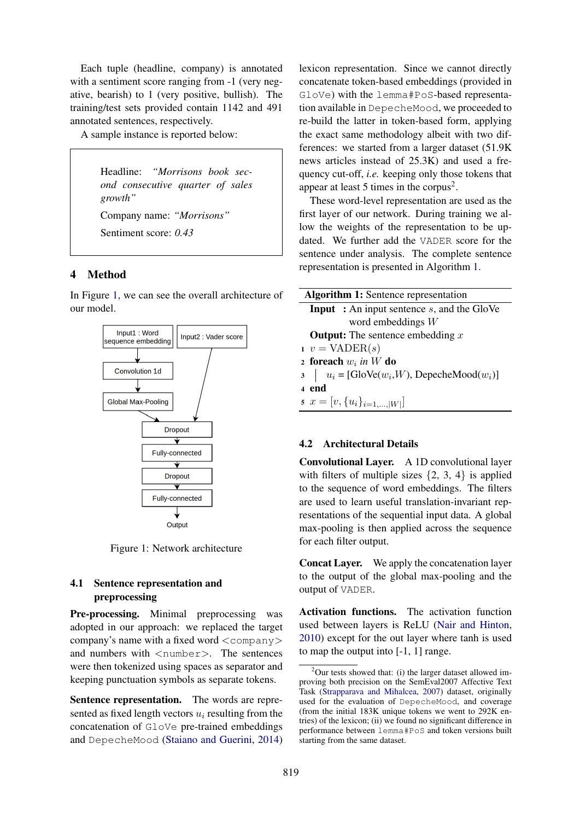Each tuple (headline, company) is annotated with a sentiment score ranging from  $-1$  (very negative, bearish) to 1 (very positive, bullish). The training/test sets provided contain 1142 and 491 annotated sentences, respectively.

A sample instance is reported below:

Headline: *"Morrisons book second consecutive quarter of sales growth"* Company name: *"Morrisons"* Sentiment score: *0.43*

#### 4 Method

In Figure 1, we can see the overall architecture of our model.



Figure 1: Network architecture

# 4.1 Sentence representation and preprocessing

Pre-processing. Minimal preprocessing was adopted in our approach: we replaced the target company's name with a fixed word  $\langle$  company $\rangle$ and numbers with  $\langle$ number $\rangle$ . The sentences were then tokenized using spaces as separator and keeping punctuation symbols as separate tokens.

Sentence representation. The words are represented as fixed length vectors  $u_i$  resulting from the concatenation of GloVe pre-trained embeddings and DepecheMood (Staiano and Guerini, 2014)

lexicon representation. Since we cannot directly concatenate token-based embeddings (provided in GloVe) with the lemma#PoS-based representation available in DepecheMood, we proceeded to re-build the latter in token-based form, applying the exact same methodology albeit with two differences: we started from a larger dataset (51.9K news articles instead of 25.3K) and used a frequency cut-off, *i.e.* keeping only those tokens that appear at least 5 times in the corpus<sup>2</sup>.

These word-level representation are used as the first layer of our network. During training we allow the weights of the representation to be updated. We further add the VADER score for the sentence under analysis. The complete sentence representation is presented in Algorithm 1.

| <b>Algorithm 1:</b> Sentence representation          |  |  |
|------------------------------------------------------|--|--|
| <b>Input</b> : An input sentence $s$ , and the GloVe |  |  |
| word embeddings $W$                                  |  |  |
| <b>Output:</b> The sentence embedding $x$            |  |  |
| $v = \text{VADER}(s)$                                |  |  |
| 2 foreach $w_i$ in W do                              |  |  |
| $u_i = [GloVe(w_i, W), DepecheMod(w_i)]$             |  |  |
| 4 end                                                |  |  |
| 5 $x = [v, \{u_i\}_{i=1,\ldots, W }]$                |  |  |

# 4.2 Architectural Details

Convolutional Layer. A 1D convolutional layer with filters of multiple sizes  $\{2, 3, 4\}$  is applied to the sequence of word embeddings. The filters are used to learn useful translation-invariant representations of the sequential input data. A global max-pooling is then applied across the sequence for each filter output.

Concat Layer. We apply the concatenation layer to the output of the global max-pooling and the output of VADER.

Activation functions. The activation function used between layers is ReLU (Nair and Hinton, 2010) except for the out layer where tanh is used to map the output into [-1, 1] range.

 $2$ Our tests showed that: (i) the larger dataset allowed improving both precision on the SemEval2007 Affective Text Task (Strapparava and Mihalcea, 2007) dataset, originally used for the evaluation of DepecheMood, and coverage (from the initial  $183K$  unique tokens we went to  $292K$  entries) of the lexicon; (ii) we found no significant difference in performance between lemma#PoS and token versions built starting from the same dataset.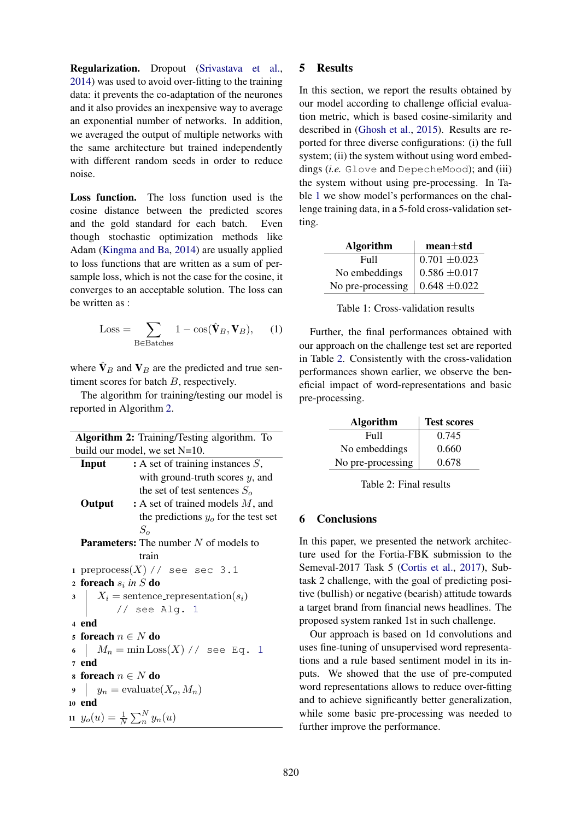Regularization. Dropout (Srivastava et al., 2014) was used to avoid over-fitting to the training data: it prevents the co-adaptation of the neurones and it also provides an inexpensive way to average an exponential number of networks. In addition, we averaged the output of multiple networks with the same architecture but trained independently with different random seeds in order to reduce noise.

Loss function. The loss function used is the cosine distance between the predicted scores and the gold standard for each batch. Even though stochastic optimization methods like Adam (Kingma and Ba, 2014) are usually applied to loss functions that are written as a sum of persample loss, which is not the case for the cosine, it converges to an acceptable solution. The loss can be written as :

$$
Loss = \sum_{B \in Batches} 1 - \cos(\hat{\mathbf{V}}_B, \mathbf{V}_B), \quad (1)
$$

where  $\hat{\mathbf{V}}_B$  and  $\mathbf{V}_B$  are the predicted and true sentiment scores for batch B, respectively.

The algorithm for training/testing our model is reported in Algorithm 2.

|                                                | Algorithm 2: Training/Testing algorithm. To                 |  |  |  |  |
|------------------------------------------------|-------------------------------------------------------------|--|--|--|--|
|                                                | build our model, we set $N=10$ .                            |  |  |  |  |
|                                                | <b>Input</b> : A set of training instances $S$ ,            |  |  |  |  |
|                                                | with ground-truth scores $y$ , and                          |  |  |  |  |
|                                                | the set of test sentences $So$                              |  |  |  |  |
|                                                | : A set of trained models $M$ , and<br>Output               |  |  |  |  |
|                                                | the predictions $yo$ for the test set                       |  |  |  |  |
|                                                | $S_{\alpha}$                                                |  |  |  |  |
| <b>Parameters:</b> The number $N$ of models to |                                                             |  |  |  |  |
|                                                | train                                                       |  |  |  |  |
|                                                | 1 preprocess $(X)$ // see sec 3.1                           |  |  |  |  |
|                                                | 2 foreach $s_i$ in S do                                     |  |  |  |  |
|                                                |                                                             |  |  |  |  |
|                                                | 3 $X_i$ = sentence_representation( $s_i$ )<br>// see Alg. 1 |  |  |  |  |
|                                                | 4 end                                                       |  |  |  |  |
|                                                | s foreach $n \in N$ do                                      |  |  |  |  |
|                                                | 6 $M_n = \min \text{Loss}(X) / /$ see Eq. 1                 |  |  |  |  |
|                                                | 7 end                                                       |  |  |  |  |
|                                                | s foreach $n \in N$ do                                      |  |  |  |  |
|                                                | $y_n = \text{evaluate}(X_o, M_n)$                           |  |  |  |  |
|                                                | 10 end                                                      |  |  |  |  |
|                                                | 11 $y_o(u) = \frac{1}{N} \sum_{n=1}^{N} y_n(u)$             |  |  |  |  |
|                                                |                                                             |  |  |  |  |

### 5 Results

In this section, we report the results obtained by our model according to challenge official evaluation metric, which is based cosine-similarity and described in (Ghosh et al., 2015). Results are reported for three diverse configurations: (i) the full system; (ii) the system without using word embeddings (*i.e.* Glove and DepecheMood); and (iii) the system without using pre-processing. In Table 1 we show model's performances on the challenge training data, in a 5-fold cross-validation setting.

| <b>Algorithm</b>  | $mean \pm std$    |
|-------------------|-------------------|
| Full              | $0.701 \pm 0.023$ |
| No embeddings     | $0.586\pm\!0.017$ |
| No pre-processing | $0.648 \pm 0.022$ |

Table 1: Cross-validation results

Further, the final performances obtained with our approach on the challenge test set are reported in Table 2. Consistently with the cross-validation performances shown earlier, we observe the beneficial impact of word-representations and basic pre-processing.

| <b>Algorithm</b>  | <b>Test scores</b> |
|-------------------|--------------------|
| Full              | 0.745              |
| No embeddings     | 0.660              |
| No pre-processing | 0.678              |

Table 2: Final results

# 6 Conclusions

In this paper, we presented the network architecture used for the Fortia-FBK submission to the Semeval-2017 Task 5 (Cortis et al., 2017), Subtask 2 challenge, with the goal of predicting positive (bullish) or negative (bearish) attitude towards a target brand from financial news headlines. The proposed system ranked 1st in such challenge.

Our approach is based on 1d convolutions and uses fine-tuning of unsupervised word representations and a rule based sentiment model in its inputs. We showed that the use of pre-computed word representations allows to reduce over-fitting and to achieve significantly better generalization, while some basic pre-processing was needed to further improve the performance.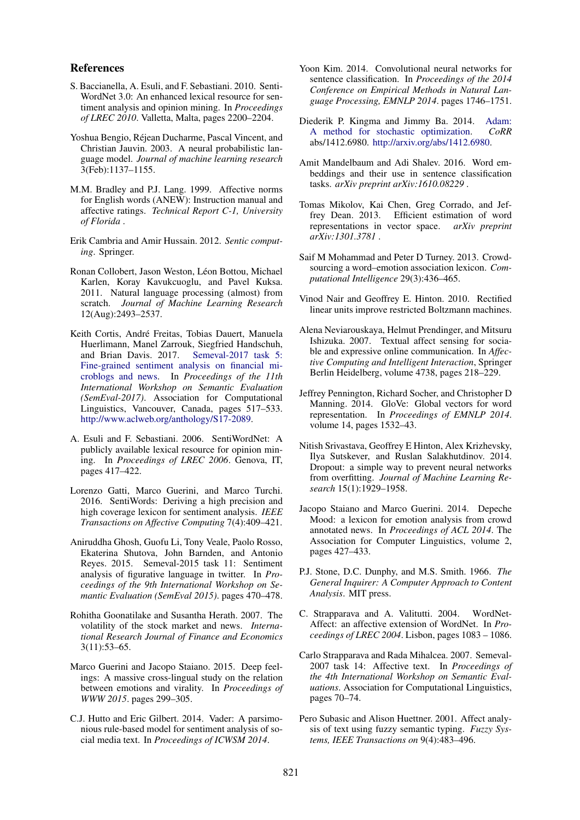#### References

- S. Baccianella, A. Esuli, and F. Sebastiani. 2010. Senti-WordNet 3.0: An enhanced lexical resource for sentiment analysis and opinion mining. In *Proceedings of LREC 2010*. Valletta, Malta, pages 2200–2204.
- Yoshua Bengio, Rejean Ducharme, Pascal Vincent, and ´ Christian Jauvin. 2003. A neural probabilistic language model. *Journal of machine learning research* 3(Feb):1137–1155.
- M.M. Bradley and P.J. Lang. 1999. Affective norms for English words (ANEW): Instruction manual and affective ratings. *Technical Report C-1, University of Florida* .
- Erik Cambria and Amir Hussain. 2012. *Sentic computing*. Springer.
- Ronan Collobert, Jason Weston, Léon Bottou, Michael Karlen, Koray Kavukcuoglu, and Pavel Kuksa. 2011. Natural language processing (almost) from scratch. *Journal of Machine Learning Research* 12(Aug):2493–2537.
- Keith Cortis, Andre Freitas, Tobias Dauert, Manuela ´ Huerlimann, Manel Zarrouk, Siegfried Handschuh, and Brian Davis. 2017. Semeval-2017 task 5: Fine-grained sentiment analysis on financial microblogs and news. In *Proceedings of the 11th International Workshop on Semantic Evaluation (SemEval-2017)*. Association for Computational Linguistics, Vancouver, Canada, pages 517–533. http://www.aclweb.org/anthology/S17-2089.
- A. Esuli and F. Sebastiani. 2006. SentiWordNet: A publicly available lexical resource for opinion mining. In *Proceedings of LREC 2006*. Genova, IT, pages 417–422.
- Lorenzo Gatti, Marco Guerini, and Marco Turchi. 2016. SentiWords: Deriving a high precision and high coverage lexicon for sentiment analysis. *IEEE Transactions on Affective Computing* 7(4):409–421.
- Aniruddha Ghosh, Guofu Li, Tony Veale, Paolo Rosso, Ekaterina Shutova, John Barnden, and Antonio Reyes. 2015. Semeval-2015 task 11: Sentiment analysis of figurative language in twitter. In *Proceedings of the 9th International Workshop on Semantic Evaluation (SemEval 2015)*. pages 470–478.
- Rohitha Goonatilake and Susantha Herath. 2007. The volatility of the stock market and news. *International Research Journal of Finance and Economics* 3(11):53–65.
- Marco Guerini and Jacopo Staiano. 2015. Deep feelings: A massive cross-lingual study on the relation between emotions and virality. In *Proceedings of WWW 2015*. pages 299–305.
- C.J. Hutto and Eric Gilbert. 2014. Vader: A parsimonious rule-based model for sentiment analysis of social media text. In *Proceedings of ICWSM 2014*.
- Yoon Kim. 2014. Convolutional neural networks for sentence classification. In *Proceedings of the 2014 Conference on Empirical Methods in Natural Language Processing, EMNLP 2014*. pages 1746–1751.
- Diederik P. Kingma and Jimmy Ba. 2014. Adam: A method for stochastic optimization. *CoRR* abs/1412.6980. http://arxiv.org/abs/1412.6980.
- Amit Mandelbaum and Adi Shalev. 2016. Word embeddings and their use in sentence classification tasks. *arXiv preprint arXiv:1610.08229* .
- Tomas Mikolov, Kai Chen, Greg Corrado, and Jeffrey Dean. 2013. Efficient estimation of word representations in vector space. *arXiv preprint arXiv:1301.3781* .
- Saif M Mohammad and Peter D Turney. 2013. Crowdsourcing a word–emotion association lexicon. *Computational Intelligence* 29(3):436–465.
- Vinod Nair and Geoffrey E. Hinton. 2010. Rectified linear units improve restricted Boltzmann machines.
- Alena Neviarouskaya, Helmut Prendinger, and Mitsuru Ishizuka. 2007. Textual affect sensing for sociable and expressive online communication. In *Affective Computing and Intelligent Interaction*, Springer Berlin Heidelberg, volume 4738, pages 218–229.
- Jeffrey Pennington, Richard Socher, and Christopher D Manning. 2014. GloVe: Global vectors for word representation. In *Proceedings of EMNLP 2014*. volume 14, pages 1532–43.
- Nitish Srivastava, Geoffrey E Hinton, Alex Krizhevsky, Ilya Sutskever, and Ruslan Salakhutdinov. 2014. Dropout: a simple way to prevent neural networks from overfitting. *Journal of Machine Learning Research* 15(1):1929–1958.
- Jacopo Staiano and Marco Guerini. 2014. Depeche Mood: a lexicon for emotion analysis from crowd annotated news. In *Proceedings of ACL 2014*. The Association for Computer Linguistics, volume 2, pages 427–433.
- P.J. Stone, D.C. Dunphy, and M.S. Smith. 1966. *The General Inquirer: A Computer Approach to Content Analysis*. MIT press.
- C. Strapparava and A. Valitutti. 2004. WordNet-Affect: an affective extension of WordNet. In *Proceedings of LREC 2004*. Lisbon, pages 1083 – 1086.
- Carlo Strapparava and Rada Mihalcea. 2007. Semeval-2007 task 14: Affective text. In *Proceedings of the 4th International Workshop on Semantic Evaluations*. Association for Computational Linguistics, pages 70–74.
- Pero Subasic and Alison Huettner. 2001. Affect analysis of text using fuzzy semantic typing. *Fuzzy Systems, IEEE Transactions on* 9(4):483–496.